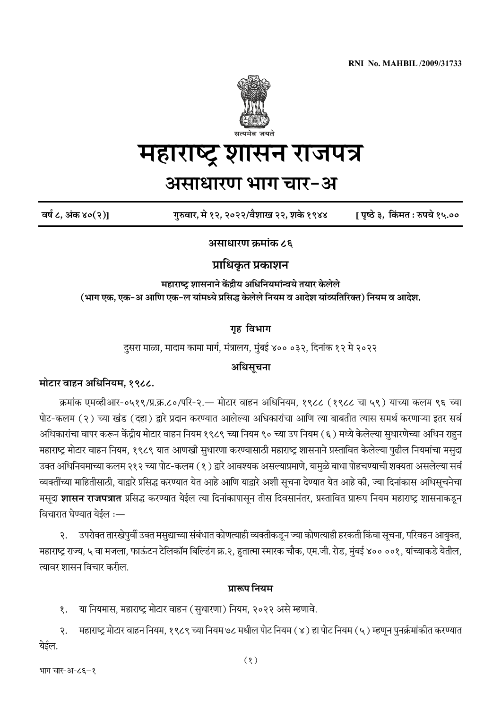

# महाराष्ट्र शासन राजपत्र

# **असाधारण भाग चार-अ**

**वषɑ ८, अंक ४०(२)] गुȟवार, मे १२, २०२२/वैशाख २२, शकɁ १९४४ [ पृđठɂ ३, िकȽमत : ȟपये १५.००**

**असाधारण ĸमांक ८६**

## **Ōािधकȵत Ōकाशन**

**महाराđł शासनाने कɟ'nीय अिधिनयमांąवये तयार कɁलेले**  (भाग एक, एक-अ आणि एक-ल यांमध्ये प्रसिद्ध केलेले नियम व आदेश यांव्यतिरिक्त) नियम व आदेश.

**गृह िवभाग**

दुसरा माळा, मादाम कामा मार्ग, मंत्रालय, मुंबई ४०० ०३२, दिनांक १२ मे २०२२

### **अिधसूचना**

### **मोटार वाहन अिधिनयम, १९८८.**

क्रमांक एमव्हीआर-०५१९/प्र.क्र.८०/परि-२.— मोटार वाहन अधिनियम, १९८८ (१९८८ चा ५९) याच्या कलम ९६ च्या पोट-कलम (२) च्या खंड (दहा) द्वारे प्रदान करण्यात आलेल्या अधिकारांचा आणि त्या बाबतीत त्यास समर्थ करणाऱ्या इतर सर्व अधिकारांचा वापर करून केंद्रीय मोटार वाहन नियम १९८९ च्या नियम ९० च्या उप नियम (६) मध्ये केलेल्या सुधारणेच्या अधिन राहुन महाराष्ट्र मोटार वाहन नियम, १९८९ यात आणखी सुधारणा करण्यासाठी महाराष्ट्र शासनाने प्रस्तावित केलेल्या पुढील नियमांचा मसुदा उक्त अधिनियमाच्या कलम २१२ च्या पोट-कलम (१) द्वारे आवश्यक असल्याप्रमाणे, यामुळे बाधा पोहचण्याची शक्यता असलेल्या सर्व व्यक्तींच्या माहितीसाठी, याद्वारे प्रसिद्ध करण्यात येत आहे आणि याद्वारे अशी सूचना देण्यात येत आहे की, ज्या दिनांकास अधिसूचनेचा मसूदा **शासन राजपत्रात** प्रसिद्ध करण्यात येईल त्या दिनांकापासून तीस दिवसानंतर, प्रस्तावित प्रारूप नियम महाराष्ट्र शासनाकडून विचारात घेण्यात येईल $:=$ 

२. उपरोक्त तारखेपुर्वी उक्त मसुद्याच्या संबंधात कोणत्याही व्यक्तीकडून ज्या कोणत्याही हरकती किंवा सूचना, परिवहन आयुक्त, महाराष्ट्र राज्य, ५ वा मजला, फाऊंटन टेलिकॉम बिल्डिंग क्र.२, हुतात्मा स्मारक चौक, एम.जी. रोड, मुंबई ४०० ००१, यांच्याकडे येतील, āयावर शासन िवचार करील.

### **ŌाȠप िनयम**

१. या नियमास, महाराष्ट्र मोटार वाहन (सुधारणा) नियम, २०२२ असे म्हणावे.

२. महाराष्ट्र मोटार वाहन नियम, १९८९ च्या नियम ७८ मधील पोट नियम (४) हा पोट नियम (५) म्हणून पुनर्क्रमांकीत करण्यात येईल.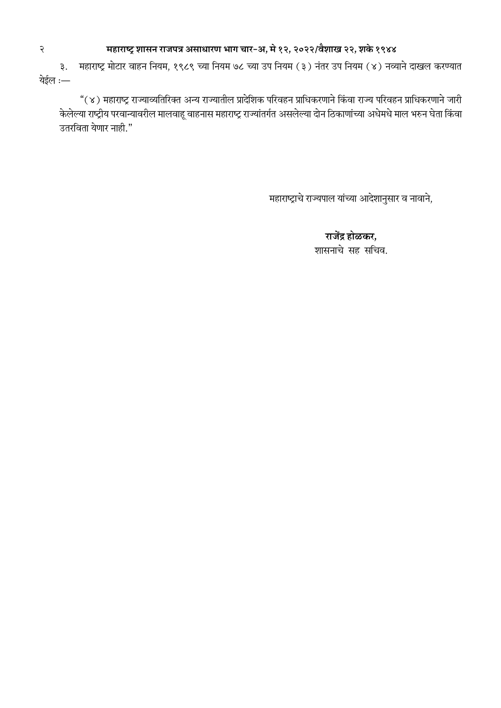# <sup>2</sup> **महाराđł शासन राजपŇ असाधारण भाग चार-अ, मे १२, २०२२/वैशाख २२, शकɁ १९४४**

३. महाराष्ट्र मोटार वाहन नियम, १९८९ च्या नियम ७८ च्या उप नियम (३) नंतर उप नियम (४) नव्याने दाखल करण्यात येईल :—

"(४) महाराष्ट्र राज्याव्यतिरिक्त अन्य राज्यातील प्रादेशिक परिवहन प्राधिकरणाने किंवा राज्य परिवहन प्राधिकरणाने जारी केलेल्या राष्ट्रीय परवान्यावरील मालवाहू वाहनास महाराष्ट्र राज्यांतर्गत असलेल्या दोन ठिकाणांच्या अधेमधे माल भरुन घेता किंवा उतरिवता येणार नाही."

महाराष्ट्राचे राज्यपाल यांच्या आदेशानुसार व नावाने,

राजेंद्र होळकर, शासनाचे सह सिचव.